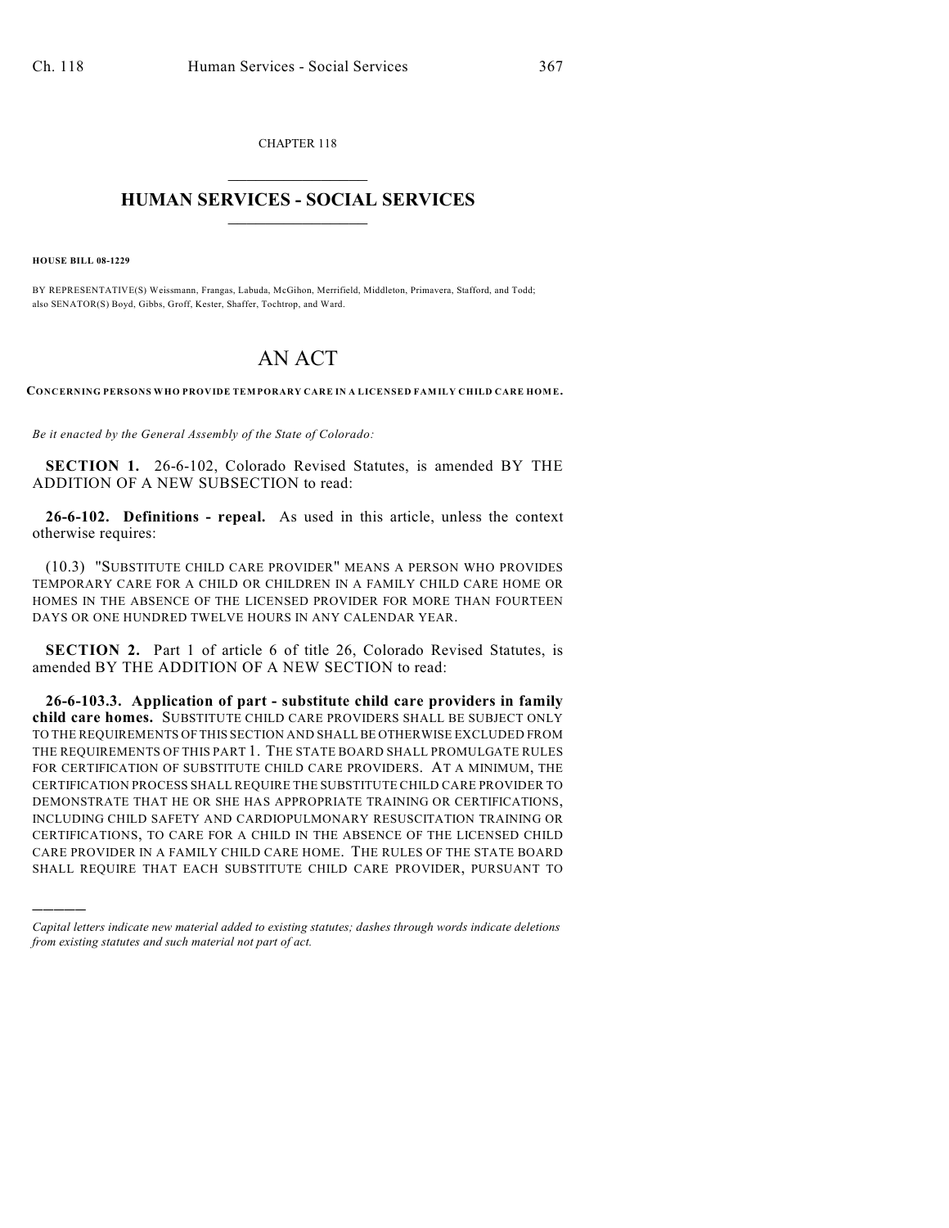CHAPTER 118  $\overline{\phantom{a}}$  . The set of the set of the set of the set of the set of the set of the set of the set of the set of the set of the set of the set of the set of the set of the set of the set of the set of the set of the set o

## **HUMAN SERVICES - SOCIAL SERVICES**  $\frac{1}{2}$  ,  $\frac{1}{2}$  ,  $\frac{1}{2}$  ,  $\frac{1}{2}$  ,  $\frac{1}{2}$  ,  $\frac{1}{2}$  ,  $\frac{1}{2}$

**HOUSE BILL 08-1229**

)))))

BY REPRESENTATIVE(S) Weissmann, Frangas, Labuda, McGihon, Merrifield, Middleton, Primavera, Stafford, and Todd; also SENATOR(S) Boyd, Gibbs, Groff, Kester, Shaffer, Tochtrop, and Ward.

## AN ACT

**CONCERNING PERSONS WHO PROVIDE TEM PORARY CARE IN A LICENSED FAM ILY CHILD CARE HOM E.**

*Be it enacted by the General Assembly of the State of Colorado:*

**SECTION 1.** 26-6-102, Colorado Revised Statutes, is amended BY THE ADDITION OF A NEW SUBSECTION to read:

**26-6-102. Definitions - repeal.** As used in this article, unless the context otherwise requires:

(10.3) "SUBSTITUTE CHILD CARE PROVIDER" MEANS A PERSON WHO PROVIDES TEMPORARY CARE FOR A CHILD OR CHILDREN IN A FAMILY CHILD CARE HOME OR HOMES IN THE ABSENCE OF THE LICENSED PROVIDER FOR MORE THAN FOURTEEN DAYS OR ONE HUNDRED TWELVE HOURS IN ANY CALENDAR YEAR.

**SECTION 2.** Part 1 of article 6 of title 26, Colorado Revised Statutes, is amended BY THE ADDITION OF A NEW SECTION to read:

**26-6-103.3. Application of part - substitute child care providers in family child care homes.** SUBSTITUTE CHILD CARE PROVIDERS SHALL BE SUBJECT ONLY TO THE REQUIREMENTS OF THIS SECTION AND SHALL BE OTHERWISE EXCLUDED FROM THE REQUIREMENTS OF THIS PART 1. THE STATE BOARD SHALL PROMULGATE RULES FOR CERTIFICATION OF SUBSTITUTE CHILD CARE PROVIDERS. AT A MINIMUM, THE CERTIFICATION PROCESS SHALL REQUIRE THE SUBSTITUTE CHILD CARE PROVIDER TO DEMONSTRATE THAT HE OR SHE HAS APPROPRIATE TRAINING OR CERTIFICATIONS, INCLUDING CHILD SAFETY AND CARDIOPULMONARY RESUSCITATION TRAINING OR CERTIFICATIONS, TO CARE FOR A CHILD IN THE ABSENCE OF THE LICENSED CHILD CARE PROVIDER IN A FAMILY CHILD CARE HOME. THE RULES OF THE STATE BOARD SHALL REQUIRE THAT EACH SUBSTITUTE CHILD CARE PROVIDER, PURSUANT TO

*Capital letters indicate new material added to existing statutes; dashes through words indicate deletions from existing statutes and such material not part of act.*